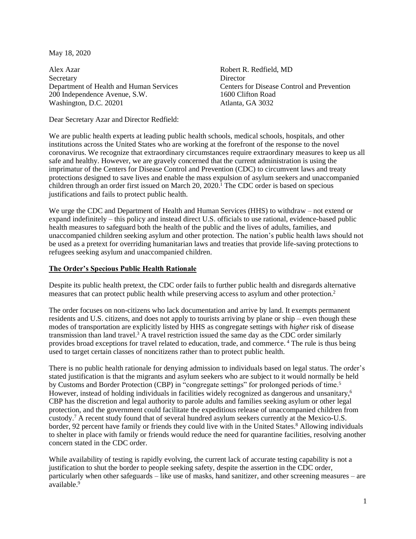May 18, 2020

Alex Azar **Secretary** Department of Health and Human Services 200 Independence Avenue, S.W. Washington, D.C. 20201

<span id="page-0-0"></span>Robert R. Redfield, MD **Director** Centers for Disease Control and Prevention 1600 Clifton Road Atlanta, GA 3032

Dear Secretary Azar and Director Redfield:

We are public health experts at leading public health schools, medical schools, hospitals, and other institutions across the United States who are working at the forefront of the response to the novel coronavirus. We recognize that extraordinary circumstances require extraordinary measures to keep us all safe and healthy. However, we are gravely concerned that the current administration is using the imprimatur of the Centers for Disease Control and Prevention (CDC) to circumvent laws and treaty protections designed to save lives and enable the mass expulsion of asylum seekers and unaccompanied children through an order first issued on March 20, 2020. <sup>1</sup> The CDC order is based on specious justifications and fails to protect public health.

We urge the CDC and Department of Health and Human Services (HHS) to withdraw – not extend or expand indefinitely – this policy and instead direct U.S. officials to use rational, evidence-based public health measures to safeguard both the health of the public and the lives of adults, families, and unaccompanied children seeking asylum and other protection. The nation's public health laws should not be used as a pretext for overriding humanitarian laws and treaties that provide life-saving protections to refugees seeking asylum and unaccompanied children.

# **The Order's Specious Public Health Rationale**

Despite its public health pretext, the CDC order fails to further public health and disregards alternative measures that can protect public health while preserving access to asylum and other protection.<sup>2</sup>

The order focuses on non-citizens who lack documentation and arrive by land. It exempts permanent residents and U.S. citizens, and does not apply to tourists arriving by plane or ship – even though these modes of transportation are explicitly listed by HHS as congregate settings with *higher* risk of disease transmission than land travel.<sup>3</sup> A travel restriction issued the same day as the CDC order similarly provides broad exceptions for travel related to education, trade, and commerce. <sup>4</sup> The rule is thus being used to target certain classes of noncitizens rather than to protect public health.

There is no public health rationale for denying admission to individuals based on legal status. The order's stated justification is that the migrants and asylum seekers who are subject to it would normally be held by Customs and Border Protection (CBP) in "congregate settings" for prolonged periods of time.<sup>5</sup> However, instead of holding individuals in facilities widely recognized as dangerous and unsanitary, 6 CBP has the discretion and legal authority to parole adults and families seeking asylum or other legal protection, and the government could facilitate the expeditious release of unaccompanied children from custody.<sup>7</sup> A recent study found that of several hundred asylum seekers currently at the Mexico-U.S. border, 92 percent have family or friends they could live with in the United States.<sup>8</sup> Allowing individuals to shelter in place with family or friends would reduce the need for quarantine facilities, resolving another concern stated in the CDC order.

While availability of testing is rapidly evolving, the current lack of accurate testing capability is not a justification to shut the border to people seeking safety, despite the assertion in the CDC order, particularly when other safeguards – like use of masks, hand sanitizer, and other screening measures – are available.9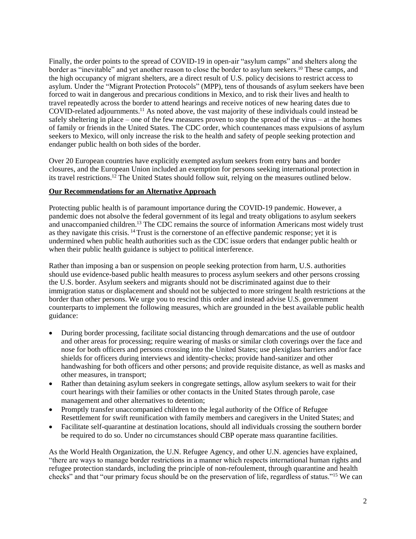Finally, the order points to the spread of COVID-19 in open-air "asylum camps" and shelters along the border as "inevitable" and yet another reason to close the border to asylum seekers.<sup>10</sup> These camps, and the high occupancy of migrant shelters, are a direct result of U.S. policy decisions to restrict access to asylum. Under the "Migrant Protection Protocols" (MPP), tens of thousands of asylum seekers have been forced to wait in dangerous and precarious conditions in Mexico, and to risk their lives and health to travel repeatedly across the border to attend hearings and receive notices of new hearing dates due to COVID-related adjournments.<sup>11</sup> As noted above, the vast majority of these individuals could instead be safely sheltering in place – one of the few measures proven to stop the spread of the virus – at the homes of family or friends in the United States. The CDC order, which countenances mass expulsions of asylum seekers to Mexico, will only increase the risk to the health and safety of people seeking protection and endanger public health on both sides of the border.

Over 20 European countries have explicitly exempted asylum seekers from entry bans and border closures, and the European Union included an exemption for persons seeking international protection in its travel restrictions.<sup>12</sup> The United States should follow suit, relying on the measures outlined below.

# **Our Recommendations for an Alternative Approach**

Protecting public health is of paramount importance during the COVID-19 pandemic. However, a pandemic does not absolve the federal government of its legal and treaty obligations to asylum seekers and unaccompanied children.<sup>13</sup> The CDC remains the source of information Americans most widely trust as they navigate this crisis. <sup>14</sup> Trust is the cornerstone of an effective pandemic response; yet it is undermined when public health authorities such as the CDC issue orders that endanger public health or when their public health guidance is subject to political interference.

Rather than imposing a ban or suspension on people seeking protection from harm, U.S. authorities should use evidence-based public health measures to process asylum seekers and other persons crossing the U.S. border. Asylum seekers and migrants should not be discriminated against due to their immigration status or displacement and should not be subjected to more stringent health restrictions at the border than other persons. We urge you to rescind this order and instead advise U.S. government counterparts to implement the following measures, which are grounded in the best available public health guidance:

- During border processing, facilitate social distancing through demarcations and the use of outdoor and other areas for processing; require wearing of masks or similar cloth coverings over the face and nose for both officers and persons crossing into the United States; use plexiglass barriers and/or face shields for officers during interviews and identity-checks; provide hand-sanitizer and other handwashing for both officers and other persons; and provide requisite distance, as well as masks and other measures, in transport;
- Rather than detaining asylum seekers in congregate settings, allow asylum seekers to wait for their court hearings with their families or other contacts in the United States through parole, case management and other alternatives to detention;
- Promptly transfer unaccompanied children to the legal authority of the Office of Refugee Resettlement for swift reunification with family members and caregivers in the United States; and
- Facilitate self-quarantine at destination locations, should all individuals crossing the southern border be required to do so. Under no circumstances should CBP operate mass quarantine facilities.

As the World Health Organization, the U.N. Refugee Agency, and other U.N. agencies have explained, "there are ways to manage border restrictions in a manner which respects international human rights and refugee protection standards, including the principle of non-refoulement, through quarantine and health checks" and that "our primary focus should be on the preservation of life, regardless of status."<sup>15</sup> We can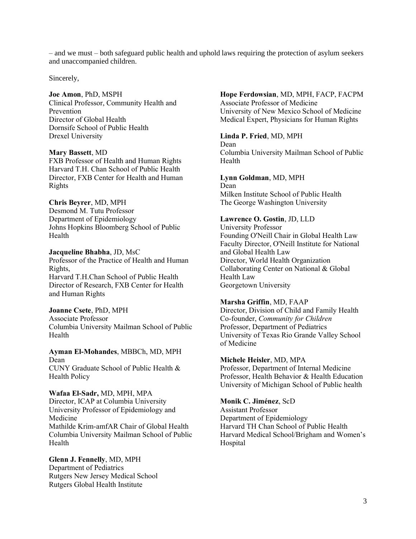– and we must – both safeguard public health and uphold laws requiring the protection of asylum seekers and unaccompanied children.

Sincerely,

### **Joe Amon**, PhD, MSPH

Clinical Professor, Community Health and Prevention Director of Global Health Dornsife School of Public Health Drexel University

#### **Mary Bassett**, MD

FXB Professor of Health and Human Rights Harvard T.H. Chan School of Public Health Director, FXB Center for Health and Human Rights

#### **Chris Beyrer**, MD, MPH

Desmond M. Tutu Professor Department of Epidemiology Johns Hopkins Bloomberg School of Public Health

**Jacqueline Bhabha**, JD, MsC Professor of the Practice of Health and Human Rights, Harvard T.H.Chan School of Public Health Director of Research, FXB Center for Health and Human Rights

#### **Joanne Csete**, PhD, MPH

Associate Professor Columbia University Mailman School of Public Health

**Ayman El-Mohandes**, MBBCh, MD, MPH Dean CUNY Graduate School of Public Health & Health Policy

**Wafaa El-Sadr,** MD, MPH, MPA Director, ICAP at Columbia University University Professor of Epidemiology and Medicine Mathilde Krim-amfAR Chair of Global Health Columbia University Mailman School of Public Health

**Glenn J. Fennelly**, MD, MPH Department of Pediatrics Rutgers New Jersey Medical School Rutgers Global Health Institute

# **Hope Ferdowsian**, MD, MPH, FACP, FACPM

Associate Professor of Medicine University of New Mexico School of Medicine Medical Expert, Physicians for Human Rights

# **Linda P. Fried**, MD, MPH

Dean Columbia University Mailman School of Public Health

**Lynn Goldman**, MD, MPH Dean Milken Institute School of Public Health The George Washington University

### **Lawrence O. Gostin**, JD, LLD

University Professor Founding O'Neill Chair in Global Health Law Faculty Director, O'Neill Institute for National and Global Health Law Director, World Health Organization Collaborating Center on National & Global Health Law Georgetown University

### **Marsha Griffin**, MD, FAAP

Director, Division of Child and Family Health Co-founder, *Community for Children* Professor, Department of Pediatrics University of Texas Rio Grande Valley School of Medicine

### **Michele Heisler**, MD, MPA

Professor, Department of Internal Medicine Professor, Health Behavior & Health Education University of Michigan School of Public health

### **Monik C. Jiménez**, ScD

Assistant Professor Department of Epidemiology Harvard TH Chan School of Public Health Harvard Medical School/Brigham and Women's Hospital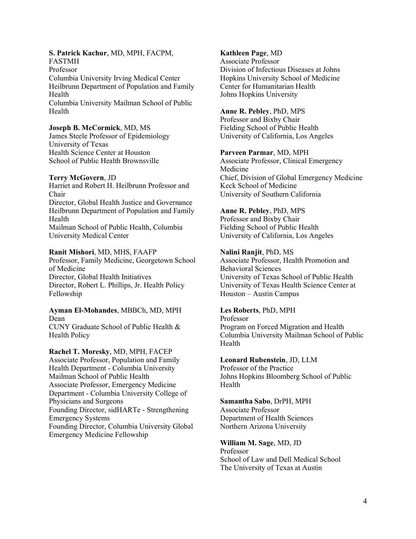# **S. Patrick Kachur**, MD, MPH, FACPM,

FASTMH

Professor Columbia University Irving Medical Center Heilbrunn Department of Population and Family Health Columbia University Mailman School of Public Health

### **Joseph B. McCormick**, MD, MS

James Steele Professor of Epidemiology University of Texas Health Science Center at Houston School of Public Health Brownsville

#### **Terry McGovern**, JD

Harriet and Robert H. Heilbrunn Professor and Chair Director, Global Health Justice and Governance Heilbrunn Department of Population and Family Health Mailman School of Public Health, Columbia University Medical Center

#### **Ranit Mishori**, MD, MHS, FAAFP

Professor, Family Medicine, Georgetown School of Medicine Director, Global Health Initiatives Director, Robert L. Phillips, Jr. Health Policy Fellowship

**Ayman El-Mohandes**, MBBCh, MD, MPH Dean CUNY Graduate School of Public Health &

Health Policy

**Rachel T. Moresky**, MD, MPH, FACEP Associate Professor, Population and Family Health Department - Columbia University Mailman School of Public Health Associate Professor, Emergency Medicine Department - Columbia University College of Physicians and Surgeons Founding Director, sidHARTe - Strengthening Emergency Systems Founding Director, Columbia University Global Emergency Medicine Fellowship

### **Kathleen Page**, MD

Associate Professor Division of Infectious Diseases at Johns Hopkins University School of Medicine Center for Humanitarian Health Johns Hopkins University

#### **Anne R. Pebley**, PhD, MPS

Professor and Bixby Chair Fielding School of Public Health University of California, Los Angeles

### **Parveen Parmar**, MD, MPH

Associate Professor, Clinical Emergency Medicine Chief, Division of Global Emergency Medicine Keck School of Medicine University of Southern California

### **Anne R. Pebley**, PhD, MPS

Professor and Bixby Chair Fielding School of Public Health University of California, Los Angeles

#### **Nalini Ranjit**, PhD, MS

Associate Professor, Health Promotion and Behavioral Sciences University of Texas School of Public Health University of Texas Health Science Center at Houston – Austin Campus

### **Les Roberts**, PhD, MPH

Professor Program on Forced Migration and Health Columbia University Mailman School of Public Health

#### **Leonard Rubenstein**, JD, LLM

Professor of the Practice Johns Hopkins Bloomberg School of Public Health

#### **Samantha Sabo**, DrPH, MPH

Associate Professor Department of Health Sciences Northern Arizona University

#### **William M. Sage**, MD, JD

Professor School of Law and Dell Medical School The University of Texas at Austin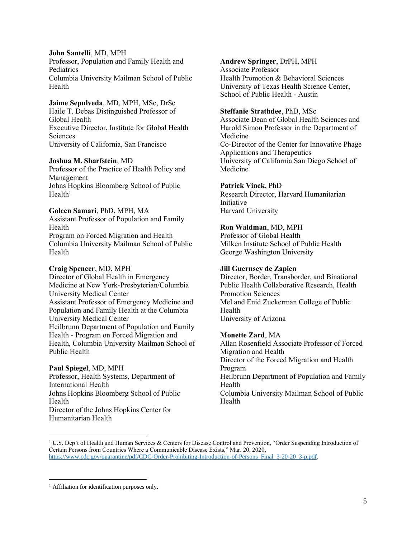### **John Santelli**, MD, MPH

Professor, Population and Family Health and **Pediatrics** Columbia University Mailman School of Public Health

# **Jaime Sepulveda**, MD, MPH, MSc, DrSc

Haile T. Debas Distinguished Professor of Global Health Executive Director, Institute for Global Health Sciences University of California, San Francisco

### **Joshua M. Sharfstein**, MD

Professor of the Practice of Health Policy and Management Johns Hopkins Bloomberg School of Public  $Health<sup>1</sup>$ 

# **Goleen Samari**, PhD, MPH, MA

Assistant Professor of Population and Family Health Program on Forced Migration and Health Columbia University Mailman School of Public Health

### **Craig Spencer**, MD, MPH

Director of Global Health in Emergency Medicine at New York-Presbyterian/Columbia University Medical Center Assistant Professor of Emergency Medicine and Population and Family Health at the Columbia University Medical Center Heilbrunn Department of Population and Family Health - Program on Forced Migration and Health, Columbia University Mailman School of Public Health

# **Paul Spiegel**, MD, MPH

Professor, Health Systems, Department of International Health Johns Hopkins Bloomberg School of Public Health Director of the Johns Hopkins Center for Humanitarian Health

# **Andrew Springer**, DrPH, MPH

Associate Professor Health Promotion & Behavioral Sciences University of Texas Health Science Center, School of Public Health - Austin

### **Steffanie Strathdee**, PhD, MSc

Associate Dean of Global Health Sciences and Harold Simon Professor in the Department of Medicine Co-Director of the Center for Innovative Phage Applications and Therapeutics University of California San Diego School of Medicine

# **Patrick Vinck**, PhD

Research Director, Harvard Humanitarian Initiative Harvard University

# **Ron Waldman**, MD, MPH

Professor of Global Health Milken Institute School of Public Health George Washington University

# **Jill Guernsey de Zapien**

Director, Border, Transborder, and Binational Public Health Collaborative Research, Health Promotion Sciences Mel and Enid Zuckerman College of Public Health University of Arizona

# **Monette Zard**, MA

Allan Rosenfield Associate Professor of Forced Migration and Health Director of the Forced Migration and Health Program Heilbrunn Department of Population and Family Health Columbia University Mailman School of Public Health

<sup>&</sup>lt;sup>1</sup> U.S. Dep't of Health and Human Services & Centers for Disease Control and Prevention, "Order Suspending Introduction of Certain Persons from Countries Where a Communicable Disease Exists," Mar. 20, 2020, [https://www.cdc.gov/quarantine/pdf/CDC-Order-Prohibiting-Introduction-of-Persons\\_Final\\_3-20-20\\_3-p.pdf.](https://www.cdc.gov/quarantine/pdf/CDC-Order-Prohibiting-Introduction-of-Persons_Final_3-20-20_3-p.pdf)

<sup>&</sup>lt;sup>1</sup> Affiliation for identification purposes only.